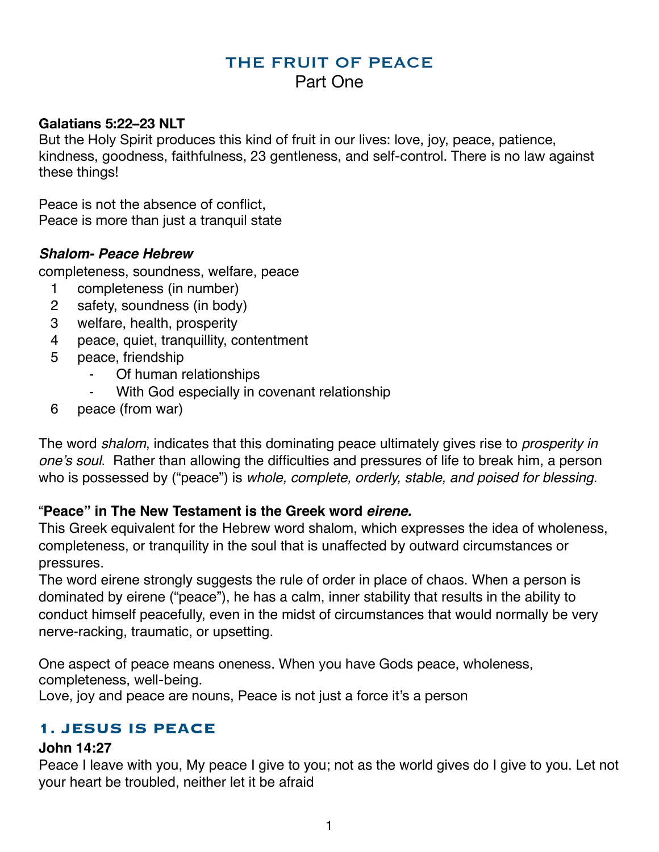# THE FRUIT OF PEACE Part One

## **Galatians 5:22–23 NLT**

But the Holy Spirit produces this kind of fruit in our lives: love, joy, peace, patience, kindness, goodness, faithfulness, 23 gentleness, and self-control. There is no law against these things!

Peace is not the absence of conflict, Peace is more than just a tranquil state

#### *Shalom- Peace Hebrew*

completeness, soundness, welfare, peace

- 1 completeness (in number)
- 2 safety, soundness (in body)
- 3 welfare, health, prosperity
- 4 peace, quiet, tranquillity, contentment
- 5 peace, friendship
	- Of human relationships
	- With God especially in covenant relationship
- 6 peace (from war)

The word *shalom*, indicates that this dominating peace ultimately gives rise to *prosperity in one's soul*. Rather than allowing the difficulties and pressures of life to break him, a person who is possessed by ("peace") is *whole, complete, orderly, stable, and poised for blessing*.

## "**Peace" in The New Testament is the Greek word** *eirene.*

This Greek equivalent for the Hebrew word shalom, which expresses the idea of wholeness, completeness, or tranquility in the soul that is unaffected by outward circumstances or pressures.

The word eirene strongly suggests the rule of order in place of chaos. When a person is dominated by eirene ("peace"), he has a calm, inner stability that results in the ability to conduct himself peacefully, even in the midst of circumstances that would normally be very nerve-racking, traumatic, or upsetting.

One aspect of peace means oneness. When you have Gods peace, wholeness, completeness, well-being. Love, joy and peace are nouns, Peace is not just a force it's a person

# **1. JESUS IS PEACE**

#### **John 14:27**

Peace I leave with you, My peace I give to you; not as the world gives do I give to you. Let not your heart be troubled, neither let it be afraid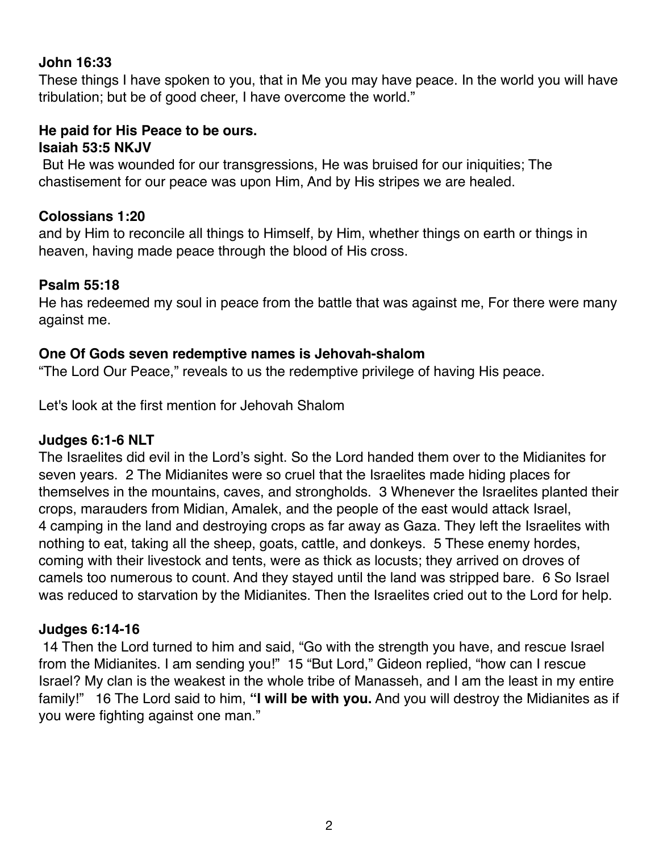# **John 16:33**

These things I have spoken to you, that in Me you may have peace. In the world you will have tribulation; but be of good cheer, I have overcome the world."

## **He paid for His Peace to be ours. Isaiah 53:5 NKJV**

 But He was wounded for our transgressions, He was bruised for our iniquities; The chastisement for our peace was upon Him, And by His stripes we are healed.

# **Colossians 1:20**

and by Him to reconcile all things to Himself, by Him, whether things on earth or things in heaven, having made peace through the blood of His cross.

# **Psalm 55:18**

He has redeemed my soul in peace from the battle that was against me, For there were many against me.

# **One Of Gods seven redemptive names is Jehovah-shalom**

"The Lord Our Peace," reveals to us the redemptive privilege of having His peace.

Let's look at the first mention for Jehovah Shalom

# **Judges 6:1-6 NLT**

The Israelites did evil in the Lord's sight. So the Lord handed them over to the Midianites for seven years. 2 The Midianites were so cruel that the Israelites made hiding places for themselves in the mountains, caves, and strongholds. 3 Whenever the Israelites planted their crops, marauders from Midian, Amalek, and the people of the east would attack Israel, 4 camping in the land and destroying crops as far away as Gaza. They left the Israelites with nothing to eat, taking all the sheep, goats, cattle, and donkeys. 5 These enemy hordes, coming with their livestock and tents, were as thick as locusts; they arrived on droves of camels too numerous to count. And they stayed until the land was stripped bare. 6 So Israel was reduced to starvation by the Midianites. Then the Israelites cried out to the Lord for help.

# **Judges 6:14-16**

 14 Then the Lord turned to him and said, "Go with the strength you have, and rescue Israel from the Midianites. I am sending you!" 15 "But Lord," Gideon replied, "how can I rescue Israel? My clan is the weakest in the whole tribe of Manasseh, and I am the least in my entire family!" 16 The Lord said to him, **"I will be with you.** And you will destroy the Midianites as if you were fighting against one man."